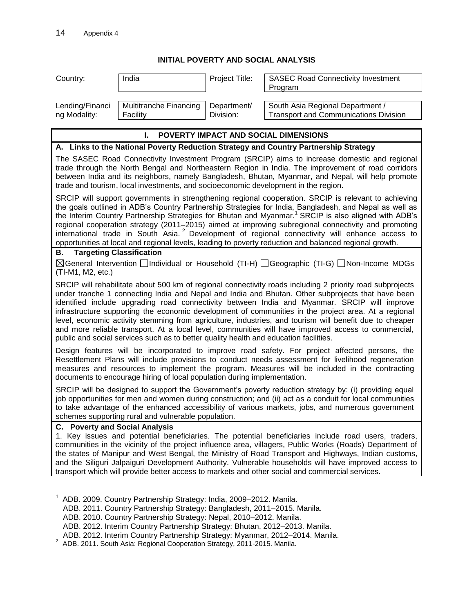## **INITIAL POVERTY AND SOCIAL ANALYSIS**

| Country:                              | India                                                                                 | Project Title: | <b>SASEC Road Connectivity Investment</b>                                                                                                                                                                                                                                                                                                                                                                                                                                                                                                                                                                                                                          |
|---------------------------------------|---------------------------------------------------------------------------------------|----------------|--------------------------------------------------------------------------------------------------------------------------------------------------------------------------------------------------------------------------------------------------------------------------------------------------------------------------------------------------------------------------------------------------------------------------------------------------------------------------------------------------------------------------------------------------------------------------------------------------------------------------------------------------------------------|
|                                       |                                                                                       |                | Program                                                                                                                                                                                                                                                                                                                                                                                                                                                                                                                                                                                                                                                            |
| Lending/Financi                       | Multitranche Financing                                                                | Department/    | South Asia Regional Department /                                                                                                                                                                                                                                                                                                                                                                                                                                                                                                                                                                                                                                   |
| ng Modality:                          | Facility                                                                              | Division:      | <b>Transport and Communications Division</b>                                                                                                                                                                                                                                                                                                                                                                                                                                                                                                                                                                                                                       |
|                                       |                                                                                       |                |                                                                                                                                                                                                                                                                                                                                                                                                                                                                                                                                                                                                                                                                    |
|                                       | L.                                                                                    |                | POVERTY IMPACT AND SOCIAL DIMENSIONS                                                                                                                                                                                                                                                                                                                                                                                                                                                                                                                                                                                                                               |
|                                       |                                                                                       |                | A. Links to the National Poverty Reduction Strategy and Country Partnership Strategy                                                                                                                                                                                                                                                                                                                                                                                                                                                                                                                                                                               |
|                                       | trade and tourism, local investments, and socioeconomic development in the region.    |                | The SASEC Road Connectivity Investment Program (SRCIP) aims to increase domestic and regional<br>trade through the North Bengal and Northeastern Region in India. The improvement of road corridors<br>between India and its neighbors, namely Bangladesh, Bhutan, Myanmar, and Nepal, will help promote                                                                                                                                                                                                                                                                                                                                                           |
|                                       |                                                                                       |                | SRCIP will support governments in strengthening regional cooperation. SRCIP is relevant to achieving<br>the goals outlined in ADB's Country Partnership Strategies for India, Bangladesh, and Nepal as well as<br>the Interim Country Partnership Strategies for Bhutan and Myanmar. <sup>1</sup> SRCIP is also aligned with ADB's<br>regional cooperation strategy (2011-2015) aimed at improving subregional connectivity and promoting<br>international trade in South Asia. <sup>2</sup> Development of regional connectivity will enhance access to<br>opportunities at local and regional levels, leading to poverty reduction and balanced regional growth. |
| В.                                    | <b>Targeting Classification</b>                                                       |                |                                                                                                                                                                                                                                                                                                                                                                                                                                                                                                                                                                                                                                                                    |
| (TI-M1, M2, etc.)                     |                                                                                       |                | $\boxtimes$ General Intervention $\Box$ Individual or Household (TI-H) $\Box$ Geographic (TI-G) $\Box$ Non-Income MDGs                                                                                                                                                                                                                                                                                                                                                                                                                                                                                                                                             |
|                                       | public and social services such as to better quality health and education facilities. |                | SRCIP will rehabilitate about 500 km of regional connectivity roads including 2 priority road subprojects<br>under tranche 1 connecting India and Nepal and India and Bhutan. Other subprojects that have been<br>identified include upgrading road connectivity between India and Myanmar. SRCIP will improve<br>infrastructure supporting the economic development of communities in the project area. At a regional<br>level, economic activity stemming from agriculture, industries, and tourism will benefit due to cheaper<br>and more reliable transport. At a local level, communities will have improved access to commercial,                           |
|                                       | documents to encourage hiring of local population during implementation.              |                | Design features will be incorporated to improve road safety. For project affected persons, the<br>Resettlement Plans will include provisions to conduct needs assessment for livelihood regeneration<br>measures and resources to implement the program. Measures will be included in the contracting                                                                                                                                                                                                                                                                                                                                                              |
|                                       | schemes supporting rural and vulnerable population.                                   |                | SRCIP will be designed to support the Government's poverty reduction strategy by: (i) providing equal<br>job opportunities for men and women during construction; and (ii) act as a conduit for local communities<br>to take advantage of the enhanced accessibility of various markets, jobs, and numerous government                                                                                                                                                                                                                                                                                                                                             |
| <b>C.</b> Poverty and Social Analysis |                                                                                       |                |                                                                                                                                                                                                                                                                                                                                                                                                                                                                                                                                                                                                                                                                    |
|                                       |                                                                                       |                | 1. Key issues and potential beneficiaries. The potential beneficiaries include road users, traders,<br>communities in the vicinity of the project influence area, villagers, Public Works (Roads) Department of<br>the states of Manipur and West Bengal, the Ministry of Road Transport and Highways, Indian customs,<br>and the Siliguri Jalpaiguri Development Authority. Vulnerable households will have improved access to<br>transport which will provide better access to markets and other social and commercial services.                                                                                                                                 |
|                                       | $1$ ADR 2000 Country Partnership Strategy: India 2000 2012 Mapilo                     |                |                                                                                                                                                                                                                                                                                                                                                                                                                                                                                                                                                                                                                                                                    |

ADB. 2009. Country Partnership Strategy: India, 2009–2012. Manila. ADB. 2011. Country Partnership Strategy: Bangladesh, 2011–2015. Manila.

ADB. 2010. Country Partnership Strategy: Nepal, 2010–2012. Manila.

ADB. 2012. Interim Country Partnership Strategy: Bhutan, 2012–2013. Manila.

ADB. 2012. Interim Country Partnership Strategy: Myanmar, 2012–2014. Manila. 2 ADB. 2011. South Asia: Regional Cooperation Strategy, 2011-2015. Manila.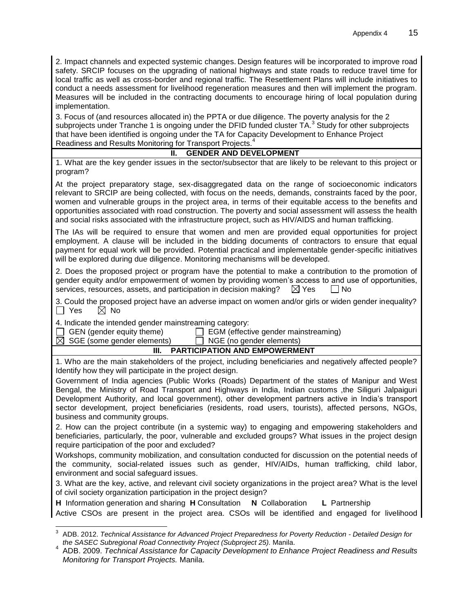2. Impact channels and expected systemic changes. Design features will be incorporated to improve road safety. SRCIP focuses on the upgrading of national highways and state roads to reduce travel time for local traffic as well as cross-border and regional traffic. The Resettlement Plans will include initiatives to conduct a needs assessment for livelihood regeneration measures and then will implement the program. Measures will be included in the contracting documents to encourage hiring of local population during implementation.

3. Focus of (and resources allocated in) the PPTA or due diligence. The poverty analysis for the 2 subprojects under Tranche 1 is ongoing under the DFID funded cluster TA.<sup>3</sup> Study for other subprojects that have been identified is ongoing under the TA for Capacity Development to Enhance Project Readiness and Results Monitoring for Transport Projects.<sup>4</sup>

## **II. GENDER AND DEVELOPMENT**

| 1. What are the key gender issues in the sector/subsector that are likely to be relevant to this project or |  |  |  |  |  |  |  |
|-------------------------------------------------------------------------------------------------------------|--|--|--|--|--|--|--|
| program?                                                                                                    |  |  |  |  |  |  |  |

At the project preparatory stage, sex-disaggregated data on the range of socioeconomic indicators relevant to SRCIP are being collected, with focus on the needs, demands, constraints faced by the poor, women and vulnerable groups in the project area, in terms of their equitable access to the benefits and opportunities associated with road construction. The poverty and social assessment will assess the health and social risks associated with the infrastructure project, such as HIV/AIDS and human trafficking.

The IAs will be required to ensure that women and men are provided equal opportunities for project employment. A clause will be included in the bidding documents of contractors to ensure that equal payment for equal work will be provided. Potential practical and implementable gender-specific initiatives will be explored during due diligence. Monitoring mechanisms will be developed.

2. Does the proposed project or program have the potential to make a contribution to the promotion of gender equity and/or empowerment of women by providing women's access to and use of opportunities, services, resources, assets, and participation in decision making?  $\boxtimes$  Yes  $\Box$  No

3. Could the proposed project have an adverse impact on women and/or girls or widen gender inequality?  $\Box$  Yes  $\boxtimes$  No

4. Indicate the intended gender mainstreaming category:

|                       | □ GEN (gender equ |  |
|-----------------------|-------------------|--|
| $\sqrt{2}$ $\sqrt{2}$ |                   |  |

 $\Box$  EGM (effective gender mainstreaming)  $\boxtimes$  SGE (some gender elements)  $\Box$  NGE (no gender elements)

## **III. PARTICIPATION AND EMPOWERMENT**

1. Who are the main stakeholders of the project, including beneficiaries and negatively affected people? Identify how they will participate in the project design.

Government of India agencies (Public Works (Roads) Department of the states of Manipur and West Bengal, the Ministry of Road Transport and Highways in India, Indian customs ,the Siliguri Jalpaiguri Development Authority, and local government), other development partners active in India's transport sector development, project beneficiaries (residents, road users, tourists), affected persons, NGOs, business and community groups.

2. How can the project contribute (in a systemic way) to engaging and empowering stakeholders and beneficiaries, particularly, the poor, vulnerable and excluded groups? What issues in the project design require participation of the poor and excluded?

Workshops, community mobilization, and consultation conducted for discussion on the potential needs of the community, social-related issues such as gender, HIV/AIDs, human trafficking, child labor, environment and social safeguard issues.

3. What are the key, active, and relevant civil society organizations in the project area? What is the level of civil society organization participation in the project design?

**H** Information generation and sharing **H** Consultation **N** Collaboration **L** Partnership

Active CSOs are present in the project area. CSOs will be identified and engaged for livelihood 

<sup>3</sup> ADB. 2012. *Technical Assistance fo[r Advanced Project Preparedness for Poverty Reduction -](http://www.adb.org/projects/43166-207/main) Detailed Design for [the SASEC Subregional Road Connectivity Project \(Subproject 25\).](http://www.adb.org/projects/43166-207/main)* Manila.

<sup>4</sup> ADB. 2009. *Technical Assistance for Capacity Development to Enhance Project Readiness and Results Monitoring for Transport Projects.* Manila.